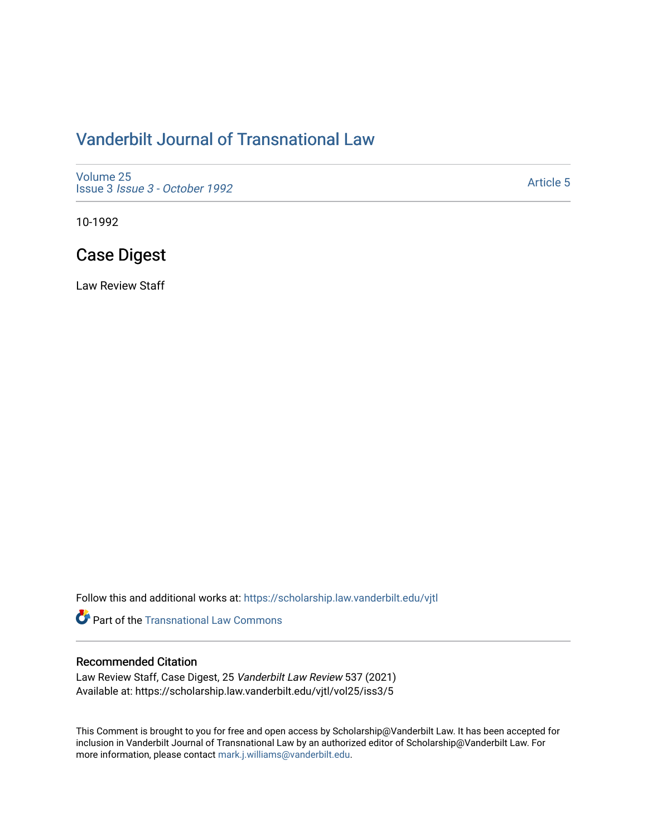## [Vanderbilt Journal of Transnational Law](https://scholarship.law.vanderbilt.edu/vjtl)

[Volume 25](https://scholarship.law.vanderbilt.edu/vjtl/vol25) Issue 3 [Issue 3 - October 1992](https://scholarship.law.vanderbilt.edu/vjtl/vol25/iss3) 

[Article 5](https://scholarship.law.vanderbilt.edu/vjtl/vol25/iss3/5) 

10-1992

# Case Digest

Law Review Staff

Follow this and additional works at: [https://scholarship.law.vanderbilt.edu/vjtl](https://scholarship.law.vanderbilt.edu/vjtl?utm_source=scholarship.law.vanderbilt.edu%2Fvjtl%2Fvol25%2Fiss3%2F5&utm_medium=PDF&utm_campaign=PDFCoverPages) 

**Part of the [Transnational Law Commons](http://network.bepress.com/hgg/discipline/1123?utm_source=scholarship.law.vanderbilt.edu%2Fvjtl%2Fvol25%2Fiss3%2F5&utm_medium=PDF&utm_campaign=PDFCoverPages)** 

## Recommended Citation

Law Review Staff, Case Digest, 25 Vanderbilt Law Review 537 (2021) Available at: https://scholarship.law.vanderbilt.edu/vjtl/vol25/iss3/5

This Comment is brought to you for free and open access by Scholarship@Vanderbilt Law. It has been accepted for inclusion in Vanderbilt Journal of Transnational Law by an authorized editor of Scholarship@Vanderbilt Law. For more information, please contact [mark.j.williams@vanderbilt.edu](mailto:mark.j.williams@vanderbilt.edu).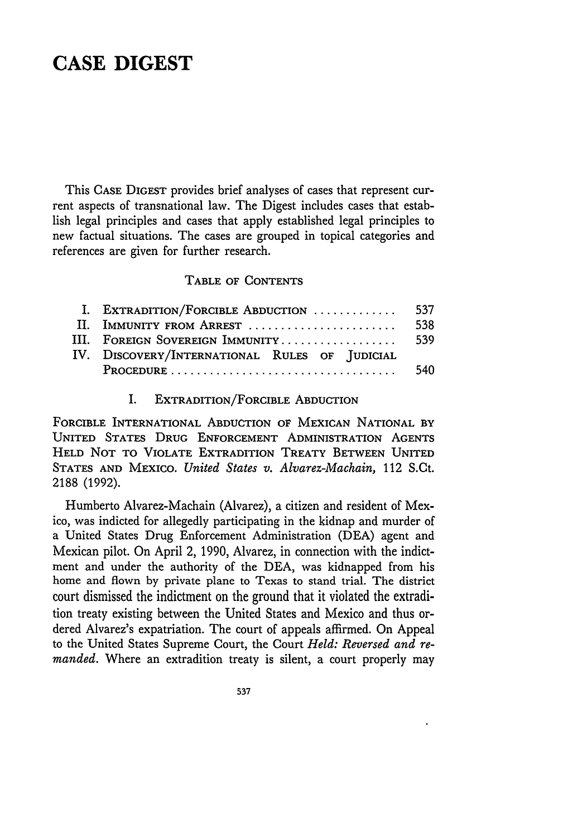## **CASE DIGEST**

This **CASE DIGEST** provides brief analyses of cases that represent current aspects of transnational law. The Digest includes cases that establish legal principles and cases that apply established legal principles to new factual situations. The cases are grouped in topical categories and references are given for further research.

#### **TABLE** OF **CONTENTS**

| I. EXTRADITION/FORCIBLE ABDUCTION             | 537 |
|-----------------------------------------------|-----|
| II. IMMUNITY FROM ARREST                      | 538 |
| III. FOREIGN SOVEREIGN IMMUNITY               | 539 |
| IV. DISCOVERY/INTERNATIONAL RULES OF JUDICIAL |     |
|                                               | 540 |

#### I. EXTRADITION/FORCIBLE ABDUCTION

FORCIBLE INTERNATIONAL ABDUCTION OF MEXICAN **NATIONAL** BY UNITED STATES **DRUG ENFORCEMENT** ADMINISTRATION **AGENTS HELD NOT** TO VIOLATE EXTRADITION TREATY **BETWEEN** UNITED **STATES AND** MEXICO. *United States v. Alvarez-Machain,* 112 S.Ct. 2188 (1992).

Humberto Alvarez-Machain (Alvarez), a citizen and resident of Mexico, was indicted for allegedly participating in the kidnap and murder of a United States Drug Enforcement Administration (DEA) agent and Mexican pilot. On April 2, 1990, Alvarez, in connection with the indictment and under the authority of the DEA, was kidnapped from his home and flown by private plane to Texas to stand trial. The district court dismissed the indictment on the ground that it violated the extradition treaty existing between the United States and Mexico and thus ordered Alvarez's expatriation. The court of appeals affirmed. On Appeal to the United States Supreme Court, the Court *Held: Reversed and remanded.* Where an extradition treaty is silent, a court properly may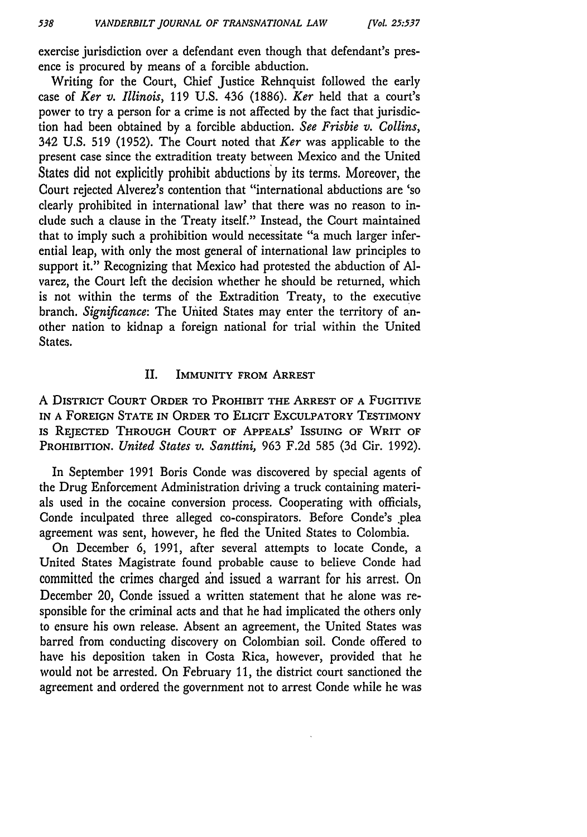exercise jurisdiction over a defendant even though that defendant's presence is procured by means of a forcible abduction.

Writing for the Court, Chief Justice Rehnquist followed the early case of *Ker v. Illinois,* 119 U.S. 436 (1886). *Ker* held that a court's power to try a person for a crime is not affected by the fact that jurisdiction had been obtained by a forcible abduction. *See Frisbie v. Collins,* 342 U.S. 519 (1952). The Court noted that *Ker* was applicable to the present case since the extradition treaty between Mexico and the United States did not explicitly prohibit abductions **by** its terms. Moreover, the Court rejected Alverez's contention that "international abductions are 'so clearly prohibited in international law' that there was no reason to include such a clause in the Treaty itself." Instead, the Court maintained that to imply such a prohibition would necessitate "a much larger inferential leap, with only the most general of international law principles to support it." Recognizing that Mexico had protested the abduction of **Al**varez, the Court left the decision whether he should be returned, which is not within the terms of the Extradition Treaty, to the executive branch. *Significance:* The United States may enter the territory of another nation to kidnap a foreign national for trial within the United States.

### II. IMMUNITY FROM ARREST

A DISTRICT **COURT** ORDER TO PROHIBIT THE ARREST OF A FUGITIVE **IN A** FOREIGN **STATE IN** ORDER TO **ELICIT** EXCULPATORY **TESTIMONY** IS **REJECTED** THROUGH **COURT** OF **APPEALS'** ISSUING OF WRIT **OF** PROHIBITION. *United States v. Santtini,* 963 F.2d 585 (3d Cir. 1992).

In September 1991 Boris Conde was discovered by special agents of the Drug Enforcement Administration driving a truck containing materials used in the cocaine conversion process. Cooperating with officials, Conde inculpated three alleged co-conspirators. Before Conde's plea agreement was sent, however, he fled the United States to Colombia.

On December 6, 1991, after several attempts to locate Conde, a United States Magistrate found probable cause to believe Conde had committed the crimes charged and issued a warrant for his arrest. On December 20, Conde issued a written statement that he alone was responsible for the criminal acts and that he had implicated the others only to ensure his own release. Absent an agreement, the United States was barred from conducting discovery on Colombian soil. Conde offered to have his deposition taken in Costa Rica, however, provided that he would not be arrested. On February 11, the district court sanctioned the agreement and ordered the government not to arrest Conde while he was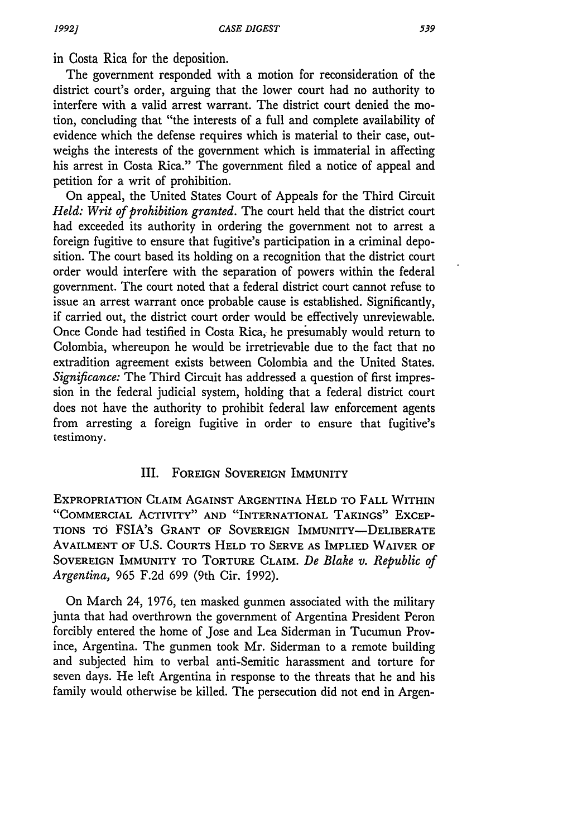in Costa Rica for the deposition.

The government responded with a motion for reconsideration of the district court's order, arguing that the lower court had no authority to interfere with a valid arrest warrant. The district court denied the motion, concluding that "the interests of a full and complete availability of evidence which the defense requires which is material to their case, outweighs the interests of the government which is immaterial in affecting his arrest in Costa Rica." The government filed a notice of appeal and petition for a writ of prohibition.

On appeal, the United States Court of Appeals for the Third Circuit *Held: Writ of prohibition granted.* The court held that the district court had exceeded its authority in ordering the government not to arrest a foreign fugitive to ensure that fugitive's participation in a criminal deposition. The court based its holding on a recognition that the district court order would interfere with the separation of powers within the federal government. The court noted that a federal district court cannot refuse to issue an arrest warrant once probable cause is established. Significantly, if carried out, the district court order would be effectively unreviewable. Once Conde had testified in Costa Rica, he presumably would return to Colombia, whereupon he would be irretrievable due to the fact that no extradition agreement exists between Colombia and the United States. *Significance:* The Third Circuit has addressed a question of first impression in the federal judicial system, holding that a federal district court does not have the authority to prohibit federal law enforcement agents from arresting a foreign fugitive in order to ensure that fugitive's testimony.

## III. FOREIGN **SOVEREIGN** IMMUNITY

EXPROPRIATION CLAIM AGAINST ARGENTINA **HELD** TO FALL WITHIN "COMMERCIAL ACTIVITY" **AND** "INTERNATIONAL **TAKINGS"** EXCEP-**TIONS** TO FSIA's GRANT OF SOVEREIGN IMMUNITY-DELIBERATE AVAILMENT OF U.S. COURTS **HELD** TO SERVE **AS** IMPLIED WAIVER OF SOVEREIGN IMMUNITY TO TORTURE CLAIM. *De Blake v. Republic of Argentina,* 965 F.2d 699 (9th Cir. 1992).

On March 24, 1976, ten masked gunmen associated with the military junta that had overthrown the government of Argentina President Peron forcibly entered the home of Jose and Lea Siderman in Tucumun Province, Argentina. The gunmen took Mr. Siderman to a remote building and subjected him to verbal anti-Semitic harassment and torture for seven days. He left Argentina in response to the threats that he and his family would otherwise be killed. The persecution did not end in Argen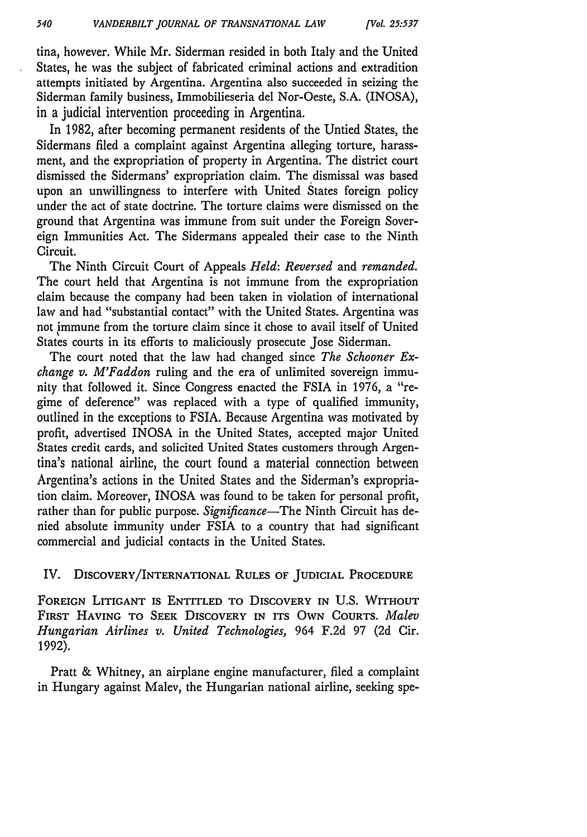tina, however. While Mr. Siderman resided in both Italy and the United States, he was the subject of fabricated criminal actions and extradition attempts initiated by Argentina. Argentina also succeeded in seizing the Siderman family business, Immobilieseria del Nor-Oeste, S.A. (INOSA), in a judicial intervention proceeding in Argentina.

In 1982, after becoming permanent residents of the Untied States, the Sidermans filed a complaint against Argentina alleging torture, harassment, and the expropriation of property in Argentina. The district court dismissed the Sidermans' expropriation claim. The dismissal was based upon an unwillingness to interfere with United States foreign policy under the act of state doctrine. The torture claims were dismissed on the ground that Argentina was immune from suit under the Foreign Sovereign Immunities Act. The Sidermans appealed their case to the Ninth Circuit.

The Ninth Circuit Court of Appeals *Held: Reversed* and *remanded.* The court held that Argentina is not immune from the expropriation claim because the company had been taken in violation of international law and had "substantial contact" with the United States. Argentina was not immune from the torture claim since it chose to avail itself of United States courts in its efforts to maliciously prosecute Jose Siderman.

The court noted that the law had changed since *The Schooner Exchange v. M'Faddon* ruling and the era of unlimited sovereign immunity that followed it. Since Congress enacted the FSIA in 1976, a "regime of deference" was replaced with a type of qualified immunity, outlined in the exceptions to FSIA. Because Argentina was motivated by profit, advertised INOSA in the United States, accepted major United States credit cards, and solicited United States customers through Argentina's national airline, the court found a material connection between Argentina's actions in the United States and the Siderman's expropriation claim. Moreover, INOSA was found to be taken for personal profit, rather than for public purpose. *Significance*-The Ninth Circuit has denied absolute immunity under FSIA to a country that had significant commercial and judicial contacts in the United States.

## IV. DISCOVERY/INTERNATIONAL **RULES** OF **JUDICIAL** PROCEDURE

**FOREIGN** LITIGANT **IS ENTITLED TO** DISCOVERY IN U.S. WITHOUT FIRST **HAVING** TO **SEEK** DISCOVERY **IN ITS** OWN **COURTS.** *Malev Hungarian Airlines v. United Technologies,* 964 F.2d 97 (2d Cir. 1992).

Pratt & Whitney, an airplane engine manufacturer, filed a complaint in Hungary against Malev, the Hungarian national airline, seeking spe-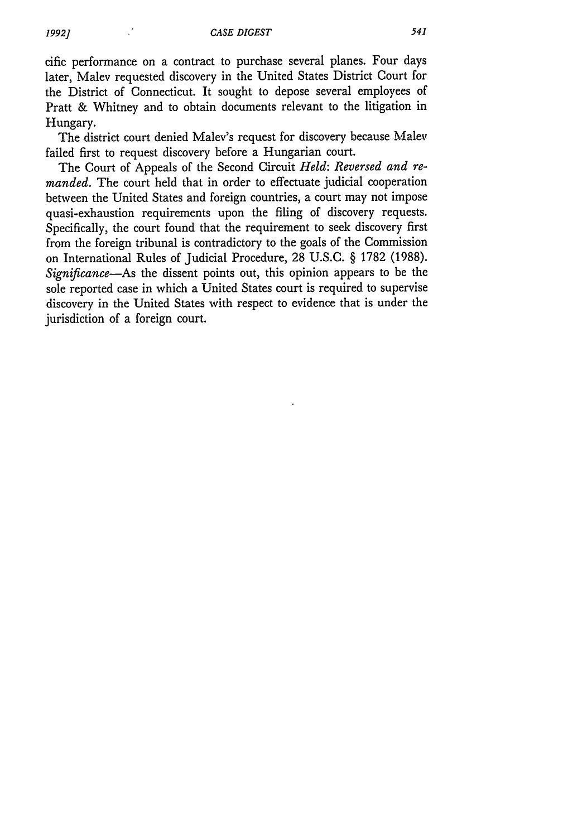cific performance on a contract to purchase several planes. Four days later, Malev requested discovery in the United States District Court for the District of Connecticut. It sought to depose several employees of Pratt & Whitney and to obtain documents relevant to the litigation in Hungary.

The district court denied Malev's request for discovery because Malev failed first to request discovery before a Hungarian court.

The Court of Appeals of the Second Circuit *Held: Reversed and remanded.* The court held that in order to effectuate judicial cooperation between the United States and foreign countries, a court may not impose quasi-exhaustion requirements upon the filing of discovery requests. Specifically, the court found that the requirement to seek discovery first from the foreign tribunal is contradictory to the goals of the Commission on International Rules of Judicial Procedure, 28 U.S.C. § 1782 (1988). *Significance-As* the dissent points out, this opinion appears to be the sole reported case in which a United States court is required to supervise discovery in the United States with respect to evidence that is under the jurisdiction of a foreign court.